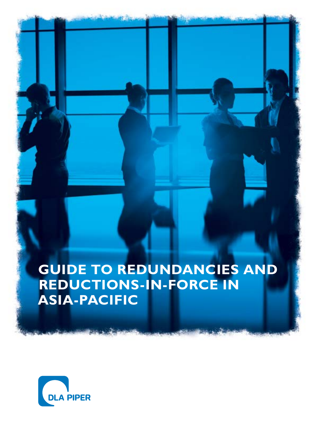### **Guide to Redundancies and Reductions-in-Force in Asia-Pacific**

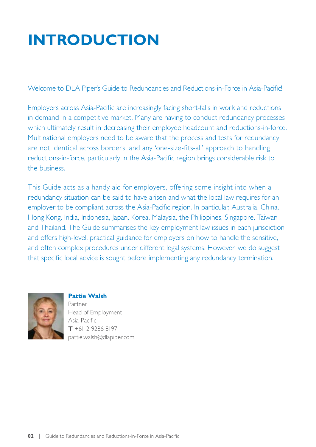## **Introduction**

Welcome to DLA Piper's Guide to Redundancies and Reductions-in-Force in Asia-Pacific!

Employers across Asia-Pacific are increasingly facing short-falls in work and reductions in demand in a competitive market. Many are having to conduct redundancy processes which ultimately result in decreasing their employee headcount and reductions-in-force. Multinational employers need to be aware that the process and tests for redundancy are not identical across borders, and any 'one-size-fits-all' approach to handling reductions-in-force, particularly in the Asia-Pacific region brings considerable risk to the business.

This Guide acts as a handy aid for employers, offering some insight into when a redundancy situation can be said to have arisen and what the local law requires for an employer to be compliant across the Asia-Pacific region. In particular, Australia, China, Hong Kong, India, Indonesia, Japan, Korea, Malaysia, the Philippines, Singapore, Taiwan and Thailand. The Guide summarises the key employment law issues in each jurisdiction and offers high-level, practical guidance for employers on how to handle the sensitive, and often complex procedures under different legal systems. However, we do suggest that specific local advice is sought before implementing any redundancy termination.



**Pattie Walsh**

Partner Head of Employment Asia-Pacific **T** +61 2 9286 8197 pattie.walsh@dlapiper.com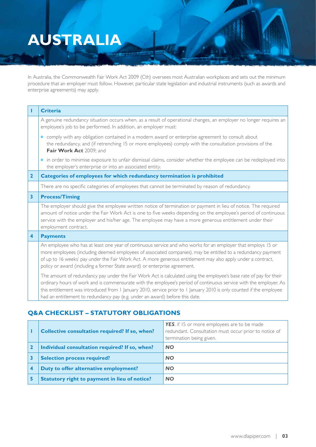### **Australia**

In Australia, the Commonwealth Fair Work Act 2009 (Cth) oversees most Australian workplaces and sets out the minimum procedure that an employer must follow. However, particular state legislation and industrial instruments (such as awards and enterprise agreements) may apply.

|                         | <b>Criteria</b>                                                                                                                                                                                                                                                                                                                                                                                                                                 |  |
|-------------------------|-------------------------------------------------------------------------------------------------------------------------------------------------------------------------------------------------------------------------------------------------------------------------------------------------------------------------------------------------------------------------------------------------------------------------------------------------|--|
|                         | A genuine redundancy situation occurs when, as a result of operational changes, an employer no longer requires an<br>employee's job to be performed. In addition, an employer must:                                                                                                                                                                                                                                                             |  |
|                         | comply with any obligation contained in a modern award or enterprise agreement to consult about<br>the redundancy, and (if retrenching 15 or more employees) comply with the consultation provisions of the<br>Fair Work Act 2009; and                                                                                                                                                                                                          |  |
|                         | in order to minimise exposure to unfair dismissal claims, consider whether the employee can be redeployed into<br>the employer's enterprise or into an associated entity.                                                                                                                                                                                                                                                                       |  |
| $\overline{2}$          | Categories of employees for which redundancy termination is prohibited                                                                                                                                                                                                                                                                                                                                                                          |  |
|                         | There are no specific categories of employees that cannot be terminated by reason of redundancy.                                                                                                                                                                                                                                                                                                                                                |  |
| $\overline{\mathbf{3}}$ | <b>Process/Timing</b>                                                                                                                                                                                                                                                                                                                                                                                                                           |  |
|                         | The employer should give the employee written notice of termination or payment in lieu of notice. The required<br>amount of notice under the Fair Work Act is one to five weeks depending on the employee's period of continuous<br>service with the employer and his/her age. The employee may have a more generous entitlement under their<br>employment contract.                                                                            |  |
| $\overline{\mathbf{4}}$ | <b>Payments</b>                                                                                                                                                                                                                                                                                                                                                                                                                                 |  |
|                         | An employee who has at least one year of continuous service and who works for an employer that employs 15 or<br>more employees (including deemed employees of associated companies), may be entitled to a redundancy payment<br>of up to 16 weeks' pay under the Fair Work Act. A more generous entitlement may also apply under a contract,<br>policy or award (including a former State award) or enterprise agreement.                       |  |
|                         | The amount of redundancy pay under the Fair Work Act is calculated using the employee's base rate of pay for their<br>ordinary hours of work and is commensurate with the employee's period of continuous service with the employer. As<br>this entitlement was introduced from I January 2010, service prior to I January 2010 is only counted if the employee<br>had an entitlement to redundancy pay (e.g. under an award) before this date. |  |

| <b>Collective consultation required? If so, when?</b> | YES, if 15 or more employees are to be made<br>redundant. Consultation must occur prior to notice of<br>termination being given. |
|-------------------------------------------------------|----------------------------------------------------------------------------------------------------------------------------------|
| Individual consultation required? If so, when?        | <b>NO</b>                                                                                                                        |
| <b>Selection process required?</b>                    | <b>NO</b>                                                                                                                        |
| Duty to offer alternative employment?                 | <b>NO</b>                                                                                                                        |
| <b>Statutory right to payment in lieu of notice?</b>  | <b>NO</b>                                                                                                                        |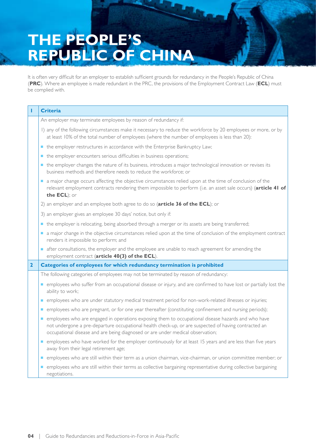## **the people's republic of china**

It is often very difficult for an employer to establish sufficient grounds for redundancy in the People's Republic of China (**PRC**). Where an employee is made redundant in the PRC, the provisions of the Employment Contract Law (**ECL**) must be complied with.

| н                                                                                                                                                                                                                | <b>Criteria</b>                                                                                                                                                                                                                                                                              |  |
|------------------------------------------------------------------------------------------------------------------------------------------------------------------------------------------------------------------|----------------------------------------------------------------------------------------------------------------------------------------------------------------------------------------------------------------------------------------------------------------------------------------------|--|
|                                                                                                                                                                                                                  | An employer may terminate employees by reason of redundancy if:                                                                                                                                                                                                                              |  |
| I) any of the following circumstances make it necessary to reduce the workforce by 20 employees or more, or by<br>at least 10% of the total number of employees (where the number of employees is less than 20): |                                                                                                                                                                                                                                                                                              |  |
|                                                                                                                                                                                                                  | the employer restructures in accordance with the Enterprise Bankruptcy Law;                                                                                                                                                                                                                  |  |
|                                                                                                                                                                                                                  | the employer encounters serious difficulties in business operations;                                                                                                                                                                                                                         |  |
|                                                                                                                                                                                                                  | • the employer changes the nature of its business, introduces a major technological innovation or revises its<br>business methods and therefore needs to reduce the workforce; or                                                                                                            |  |
|                                                                                                                                                                                                                  | a major change occurs affecting the objective circumstances relied upon at the time of conclusion of the<br>a a<br>relevant employment contracts rendering them impossible to perform (i.e. an asset sale occurs) (article 41 of<br>the ECL); or                                             |  |
|                                                                                                                                                                                                                  | 2) an employer and an employee both agree to do so (article 36 of the ECL); or                                                                                                                                                                                                               |  |
|                                                                                                                                                                                                                  | 3) an employer gives an employee 30 days' notice, but only if:                                                                                                                                                                                                                               |  |
|                                                                                                                                                                                                                  | the employer is relocating, being absorbed through a merger or its assets are being transferred;                                                                                                                                                                                             |  |
|                                                                                                                                                                                                                  | a major change in the objective circumstances relied upon at the time of conclusion of the employment contract<br>renders it impossible to perform; and                                                                                                                                      |  |
|                                                                                                                                                                                                                  | after consultations, the employer and the employee are unable to reach agreement for amending the<br>employment contract (article 40(3) of the ECL).                                                                                                                                         |  |
| $\overline{2}$                                                                                                                                                                                                   | Categories of employees for which redundancy termination is prohibited                                                                                                                                                                                                                       |  |
|                                                                                                                                                                                                                  | The following categories of employees may not be terminated by reason of redundancy:                                                                                                                                                                                                         |  |
|                                                                                                                                                                                                                  | employees who suffer from an occupational disease or injury, and are confirmed to have lost or partially lost the<br>ability to work;                                                                                                                                                        |  |
|                                                                                                                                                                                                                  | employees who are under statutory medical treatment period for non-work-related illnesses or injuries;<br>ш                                                                                                                                                                                  |  |
|                                                                                                                                                                                                                  | employees who are pregnant, or for one year thereafter (constituting confinement and nursing periods);<br><b>I</b>                                                                                                                                                                           |  |
|                                                                                                                                                                                                                  | employees who are engaged in operations exposing them to occupational disease hazards and who have<br>not undergone a pre-departure occupational health check-up, or are suspected of having contracted an<br>occupational disease and are being diagnosed or are under medical observation; |  |
|                                                                                                                                                                                                                  | employees who have worked for the employer continuously for at least 15 years and are less than five years<br>away from their legal retirement age;                                                                                                                                          |  |
|                                                                                                                                                                                                                  | employees who are still within their term as a union chairman, vice-chairman, or union committee member; or<br>ш                                                                                                                                                                             |  |
|                                                                                                                                                                                                                  | employees who are still within their terms as collective bargaining representative during collective bargaining<br>negotiations.                                                                                                                                                             |  |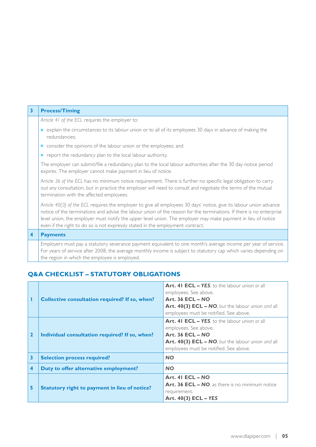| $\overline{\mathbf{3}}$ | <b>Process/Timing</b>                                                                                                                                                                                                                                                                                                                                                                                                                         |  |
|-------------------------|-----------------------------------------------------------------------------------------------------------------------------------------------------------------------------------------------------------------------------------------------------------------------------------------------------------------------------------------------------------------------------------------------------------------------------------------------|--|
|                         |                                                                                                                                                                                                                                                                                                                                                                                                                                               |  |
|                         | Article 41 of the ECL requires the employer to:                                                                                                                                                                                                                                                                                                                                                                                               |  |
|                         | explain the circumstances to its labour union or to all of its employees 30 days in advance of making the<br>redundancies;                                                                                                                                                                                                                                                                                                                    |  |
|                         | consider the opinions of the labour union or the employees; and<br>$\mathcal{L}_{\mathcal{A}}$                                                                                                                                                                                                                                                                                                                                                |  |
|                         | report the redundancy plan to the local labour authority.<br>п                                                                                                                                                                                                                                                                                                                                                                                |  |
|                         | The employer can submit/file a redundancy plan to the local labour authorities after the 30 day notice period<br>expires. The employer cannot make payment in lieu of notice.                                                                                                                                                                                                                                                                 |  |
|                         | Article 36 of the ECL has no minimum notice requirement. There is further no specific legal obligation to carry<br>out any consultation, but in practice the employer will need to consult and negotiate the terms of the mutual<br>termination with the affected employees.                                                                                                                                                                  |  |
|                         | Article 40(3) of the ECL requires the employer to give all employees 30 days' notice, give its labour union advance<br>notice of the terminations and advise the labour union of the reason for the terminations. If there is no enterprise<br>level union, the employer must notify the upper level union. The employer may make payment in lieu of notice<br>even if the right to do so is not expressly stated in the employment contract. |  |
| $\overline{\mathbf{4}}$ | <b>Payments</b>                                                                                                                                                                                                                                                                                                                                                                                                                               |  |
|                         | Employers must pay a statutory severance payment equivalent to one month's average income per year of service.<br>For years of service after 2008, the average monthly income is subject to statutory cap which varies depending on<br>the region in which the employee is employed.                                                                                                                                                          |  |

|                         | <b>Collective consultation required? If so, when?</b> | <b>Art. 41 ECL - YES</b> , to the labour union or all<br>employees. See above.<br>Art. $36$ ECL – NO<br>Art. 40(3) ECL - NO, but the labour union and all<br>employees must be notified. See above.      |
|-------------------------|-------------------------------------------------------|----------------------------------------------------------------------------------------------------------------------------------------------------------------------------------------------------------|
| $\overline{\mathbf{2}}$ | Individual consultation required? If so, when?        | <b>Art. 41 ECL - YES</b> , to the labour union or all<br>employees. See above.<br><b>Art. 36 ECL - NO</b><br>Art. 40(3) ECL - NO, but the labour union and all<br>employees must be notified. See above. |
| $\overline{\mathbf{3}}$ | <b>Selection process required?</b>                    | <b>NO</b>                                                                                                                                                                                                |
| 4                       | Duty to offer alternative employment?                 | <b>NO</b>                                                                                                                                                                                                |
| 5                       | <b>Statutory right to payment in lieu of notice?</b>  | Art. 41 $ECL - NO$<br>Art. 36 ECL - NO, as there is no minimum notice<br>requirement.<br>Art. 40(3) ECL - YES                                                                                            |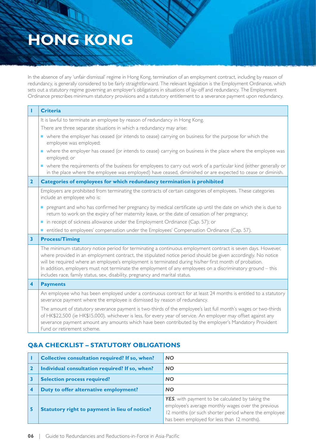### **Hong Kong**

In the absence of any 'unfair dismissal' regime in Hong Kong, termination of an employment contract, including by reason of redundancy, is generally considered to be fairly straightforward. The relevant legislation is the Employment Ordinance, which sets out a statutory regime governing an employer's obligations in situations of lay-off and redundancy. The Employment Ordinance prescribes minimum statutory provisions and a statutory entitlement to a severance payment upon redundancy.

| т                       | <b>Criteria</b>                                                                                                                                                                                                                                                                                                                                                                                                                                                                                                                        |  |  |
|-------------------------|----------------------------------------------------------------------------------------------------------------------------------------------------------------------------------------------------------------------------------------------------------------------------------------------------------------------------------------------------------------------------------------------------------------------------------------------------------------------------------------------------------------------------------------|--|--|
|                         | It is lawful to terminate an employee by reason of redundancy in Hong Kong.                                                                                                                                                                                                                                                                                                                                                                                                                                                            |  |  |
|                         | There are three separate situations in which a redundancy may arise:                                                                                                                                                                                                                                                                                                                                                                                                                                                                   |  |  |
|                         | • where the employer has ceased (or intends to cease) carrying on business for the purpose for which the<br>employee was employed;                                                                                                                                                                                                                                                                                                                                                                                                     |  |  |
|                         | • where the employer has ceased (or intends to cease) carrying on business in the place where the employee was<br>employed; or                                                                                                                                                                                                                                                                                                                                                                                                         |  |  |
|                         | • where the requirements of the business for employees to carry out work of a particular kind (either generally or<br>in the place where the employee was employed) have ceased, diminished or are expected to cease or diminish.                                                                                                                                                                                                                                                                                                      |  |  |
| $\overline{2}$          | Categories of employees for which redundancy termination is prohibited                                                                                                                                                                                                                                                                                                                                                                                                                                                                 |  |  |
|                         | Employers are prohibited from terminating the contracts of certain categories of employees. These categories<br>include an employee who is:                                                                                                                                                                                                                                                                                                                                                                                            |  |  |
|                         | pregnant and who has confirmed her pregnancy by medical certificate up until the date on which she is due to<br>return to work on the expiry of her maternity leave, or the date of cessation of her pregnancy;                                                                                                                                                                                                                                                                                                                        |  |  |
|                         | in receipt of sickness allowance under the Employment Ordinance (Cap. 57); or                                                                                                                                                                                                                                                                                                                                                                                                                                                          |  |  |
|                         | • entitled to employees' compensation under the Employees' Compensation Ordinance (Cap. 57).                                                                                                                                                                                                                                                                                                                                                                                                                                           |  |  |
| $\overline{\mathbf{3}}$ | <b>Process/Timing</b>                                                                                                                                                                                                                                                                                                                                                                                                                                                                                                                  |  |  |
|                         | The minimum statutory notice period for terminating a continuous employment contract is seven days. However,<br>where provided in an employment contract, the stipulated notice period should be given accordingly. No notice<br>will be required where an employee's employment is terminated during his/her first month of probation.<br>In addition, employers must not terminate the employment of any employees on a discriminatory ground - this<br>includes race, family status, sex, disability, pregnancy and marital status. |  |  |
| $\overline{\mathbf{4}}$ | <b>Payments</b>                                                                                                                                                                                                                                                                                                                                                                                                                                                                                                                        |  |  |
|                         | An employee who has been employed under a continuous contract for at least 24 months is entitled to a statutory<br>severance payment where the employee is dismissed by reason of redundancy.                                                                                                                                                                                                                                                                                                                                          |  |  |
|                         | The amount of statutory severance payment is two-thirds of the employee's last full month's wages or two-thirds<br>of HK\$22,500 (ie HK\$15,000), whichever is less, for every year of service. An employer may offset against any<br>severance payment amount any amounts which have been contributed by the employer's Mandatory Provident<br>Fund or retirement scheme.                                                                                                                                                             |  |  |

| Collective consultation required? If so, when?       | <b>NO</b>                                                                                                                                                                                                             |
|------------------------------------------------------|-----------------------------------------------------------------------------------------------------------------------------------------------------------------------------------------------------------------------|
| Individual consultation required? If so, when?       | <b>NO</b>                                                                                                                                                                                                             |
| <b>Selection process required?</b>                   | <b>NO</b>                                                                                                                                                                                                             |
| Duty to offer alternative employment?                | <b>NO</b>                                                                                                                                                                                                             |
| <b>Statutory right to payment in lieu of notice?</b> | <b>YES</b> , with payment to be calculated by taking the<br>employee's average monthly wages over the previous<br>12 months (or such shorter period where the employee<br>has been employed for less than 12 months). |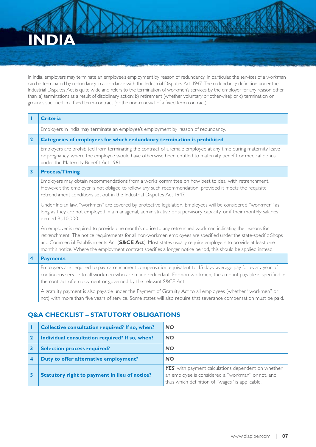## **India**

In India, employers may terminate an employee's employment by reason of redundancy. In particular, the services of a workman can be terminated by redundancy in accordance with the Industrial Disputes Act 1947. The redundancy definition under the Industrial Disputes Act is quite wide and refers to the termination of workmen's services by the employer for any reason other than: a) terminations as a result of disciplinary action; b) retirement (whether voluntary or otherwise); or c) termination on grounds specified in a fixed term-contract (or the non-renewal of a fixed term contract).

|                         | <b>Criteria</b>                                                                                                                                                                                                                                                                                                                                                                                                                                                  |
|-------------------------|------------------------------------------------------------------------------------------------------------------------------------------------------------------------------------------------------------------------------------------------------------------------------------------------------------------------------------------------------------------------------------------------------------------------------------------------------------------|
|                         | Employers in India may terminate an employee's employment by reason of redundancy.                                                                                                                                                                                                                                                                                                                                                                               |
| $\overline{2}$          | Categories of employees for which redundancy termination is prohibited                                                                                                                                                                                                                                                                                                                                                                                           |
|                         | Employers are prohibited from terminating the contract of a female employee at any time during maternity leave<br>or pregnancy, where the employee would have otherwise been entitled to maternity benefit or medical bonus<br>under the Maternity Benefit Act 1961.                                                                                                                                                                                             |
| $\overline{\mathbf{3}}$ | <b>Process/Timing</b>                                                                                                                                                                                                                                                                                                                                                                                                                                            |
|                         | Employers may obtain recommendations from a works committee on how best to deal with retrenchment.<br>However, the employer is not obliged to follow any such recommendation, provided it meets the requisite<br>retrenchment conditions set out in the Industrial Disputes Act 1947.                                                                                                                                                                            |
|                         | Under Indian law, "workmen" are covered by protective legislation. Employees will be considered "workmen" as<br>long as they are not employed in a managerial, administrative or supervisory capacity, or if their monthly salaries<br>exceed Rs.10,000.                                                                                                                                                                                                         |
|                         | An employer is required to provide one month's notice to any retrenched workman indicating the reasons for<br>retrenchment. The notice requirements for all non-workmen employees are specified under the state-specific Shops<br>and Commercial Establishments Act (S&CE Act). Most states usually require employers to provide at least one<br>month's notice. Where the employment contract specifies a longer notice period, this should be applied instead. |
| $\overline{\mathbf{4}}$ | <b>Payments</b>                                                                                                                                                                                                                                                                                                                                                                                                                                                  |
|                         | Employers are required to pay retrenchment compensation equivalent to 15 days' average pay for every year of<br>continuous service to all workmen who are made redundant. For non-workmen, the amount payable is specified in<br>the contract of employment or governed by the relevant S&CE Act.                                                                                                                                                                |
|                         | A gratuity payment is also payable under the Payment of Gratuity Act to all employees (whether "workmen" or<br>not) with more than five years of service. Some states will also require that severance compensation must be paid.                                                                                                                                                                                                                                |

|   | Collective consultation required? If so, when?       | <b>NO</b>                                                                                                                                                           |
|---|------------------------------------------------------|---------------------------------------------------------------------------------------------------------------------------------------------------------------------|
|   | Individual consultation required? If so, when?       | <b>NO</b>                                                                                                                                                           |
|   | <b>Selection process required?</b>                   | <b>NO</b>                                                                                                                                                           |
|   | Duty to offer alternative employment?                | <b>NO</b>                                                                                                                                                           |
| 5 | <b>Statutory right to payment in lieu of notice?</b> | <b>YES</b> , with payment calculations dependent on whether<br>an employee is considered a "workman" or not, and<br>thus which definition of "wages" is applicable. |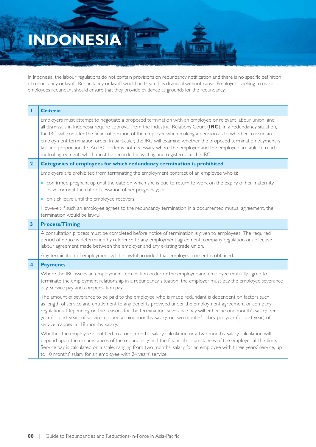# **Indonesia**

In Indonesia, the labour regulations do not contain provisions on redundancy notification and there is no specific definition of redundancy or layoff. Redundancy or layoff would be treated as dismissal without cause. Employers seeking to make employees redundant should ensure that they provide evidence as grounds for the redundancy.

perent.

| т                       | <b>Criteria</b>                                                                                                                                                                                                                                                                                                                                                                                                                                                                                                                                                                                                                                                    |  |  |
|-------------------------|--------------------------------------------------------------------------------------------------------------------------------------------------------------------------------------------------------------------------------------------------------------------------------------------------------------------------------------------------------------------------------------------------------------------------------------------------------------------------------------------------------------------------------------------------------------------------------------------------------------------------------------------------------------------|--|--|
|                         | Employers must attempt to negotiate a proposed termination with an employee or relevant labour union, and<br>all dismissals in Indonesia require approval from the Industrial Relations Court (IRC). In a redundancy situation,<br>the IRC will consider the financial position of the employer when making a decision as to whether to issue an<br>employment termination order. In particular, the IRC will examine whether the proposed termination payment is<br>fair and proportionate. An IRC order is not necessary where the employer and the employee are able to reach<br>mutual agreement, which must be recorded in writing and registered at the IRC. |  |  |
| $\mathbf{2}$            | Categories of employees for which redundancy termination is prohibited                                                                                                                                                                                                                                                                                                                                                                                                                                                                                                                                                                                             |  |  |
|                         | Employers are prohibited from terminating the employment contract of an employee who is:                                                                                                                                                                                                                                                                                                                                                                                                                                                                                                                                                                           |  |  |
|                         | confirmed pregnant up until the date on which she is due to return to work on the expiry of her maternity<br>leave, or until the date of cessation of her pregnancy; or                                                                                                                                                                                                                                                                                                                                                                                                                                                                                            |  |  |
|                         | on sick leave until the employee recovers.                                                                                                                                                                                                                                                                                                                                                                                                                                                                                                                                                                                                                         |  |  |
|                         | However, if such an employee agrees to the redundancy termination in a documented mutual agreement, the<br>termination would be lawful.                                                                                                                                                                                                                                                                                                                                                                                                                                                                                                                            |  |  |
| $\overline{\mathbf{3}}$ | <b>Process/Timing</b>                                                                                                                                                                                                                                                                                                                                                                                                                                                                                                                                                                                                                                              |  |  |
|                         | A consultation process must be completed before notice of termination is given to employees. The required<br>period of notice is determined by reference to any employment agreement, company regulation or collective<br>labour agreement made between the employer and any existing trade union.                                                                                                                                                                                                                                                                                                                                                                 |  |  |
|                         | Any termination of employment will be lawful provided that employee consent is obtained.                                                                                                                                                                                                                                                                                                                                                                                                                                                                                                                                                                           |  |  |
| 4                       | <b>Payments</b>                                                                                                                                                                                                                                                                                                                                                                                                                                                                                                                                                                                                                                                    |  |  |
|                         | Where the IRC issues an employment termination order or the employer and employee mutually agree to<br>terminate the employment relationship in a redundancy situation, the employer must pay the employee severance<br>pay, service pay and compensation pay.                                                                                                                                                                                                                                                                                                                                                                                                     |  |  |
|                         | The amount of severance to be paid to the employee who is made redundant is dependent on factors such<br>as length of service and entitlement to any benefits provided under the employment agreement or company<br>regulations. Depending on the reasons for the termination, severance pay will either be one month's salary per<br>year (or part year) of service, capped at nine months' salary, or two months' salary per year (or part year) of<br>service, capped at 18 months' salary.                                                                                                                                                                     |  |  |
|                         | Whether the employee is entitled to a one month's salary calculation or a two months' salary calculation will<br>depend upon the circumstances of the redundancy and the financial circumstances of the employer at the time.<br>Service pay is calculated on a scale, ranging from two months' salary for an employee with three years' service, up<br>to 10 months' salary for an employee with 24 years' service.                                                                                                                                                                                                                                               |  |  |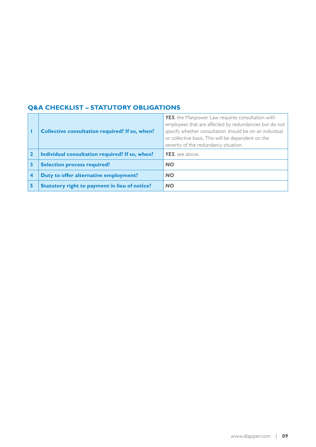|                                                      | YES, the Manpower Law requires consultation with        |
|------------------------------------------------------|---------------------------------------------------------|
|                                                      | employees that are affected by redundancies but do not  |
| Collective consultation required? If so, when?       | specify whether consultation should be on an individual |
|                                                      | or collective basis. This will be dependent on the      |
|                                                      | severity of the redundancy situation.                   |
| Individual consultation required? If so, when?       | YES, see above.                                         |
| <b>Selection process required?</b>                   | <b>NO</b>                                               |
| Duty to offer alternative employment?                | <b>NO</b>                                               |
| <b>Statutory right to payment in lieu of notice?</b> | <b>NO</b>                                               |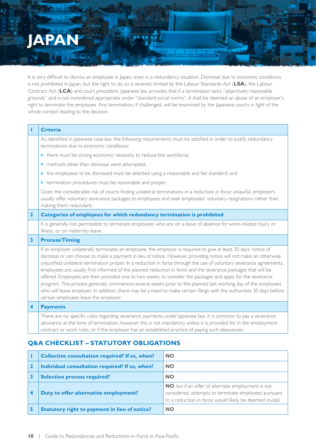### **Japan**

It is very difficult to dismiss an employee in Japan, even in a redundancy situation. Dismissal due to economic conditions is not prohibited in Japan, but the right to do so is severely limited by the Labour Standards Act (**LSA**), the Labour Contract Act (**LCA**) and court precedent. Japanese law provides that if a termination lacks "objectively reasonable grounds" and is not considered appropriate under "standard social norms", it shall be deemed an abuse of an employer's right to terminate the employee. Any termination, if challenged, will be examined by the Japanese courts in light of the whole context leading to the decision.

| т                       | <b>Criteria</b>                                                                                                                                                                                                                                                                                                                                                                                                                                                                                                                                                                                                                                                                                                                                                                                                                                                                    |  |  |
|-------------------------|------------------------------------------------------------------------------------------------------------------------------------------------------------------------------------------------------------------------------------------------------------------------------------------------------------------------------------------------------------------------------------------------------------------------------------------------------------------------------------------------------------------------------------------------------------------------------------------------------------------------------------------------------------------------------------------------------------------------------------------------------------------------------------------------------------------------------------------------------------------------------------|--|--|
|                         | As identified in Japanese case law, the following requirements must be satisfied in order to justify redundancy<br>terminations due to economic conditions:                                                                                                                                                                                                                                                                                                                                                                                                                                                                                                                                                                                                                                                                                                                        |  |  |
|                         | there must be strong economic necessity to reduce the workforce;                                                                                                                                                                                                                                                                                                                                                                                                                                                                                                                                                                                                                                                                                                                                                                                                                   |  |  |
|                         | methods other than dismissal were attempted;                                                                                                                                                                                                                                                                                                                                                                                                                                                                                                                                                                                                                                                                                                                                                                                                                                       |  |  |
|                         | the employees to be dismissed must be selected using a reasonable and fair standard; and                                                                                                                                                                                                                                                                                                                                                                                                                                                                                                                                                                                                                                                                                                                                                                                           |  |  |
|                         | termination procedures must be reasonable and proper.                                                                                                                                                                                                                                                                                                                                                                                                                                                                                                                                                                                                                                                                                                                                                                                                                              |  |  |
|                         | Given the considerable risk of courts finding unilateral terminations in a reduction in force unlawful, employers<br>usually offer voluntary severance packages to employees and seek employees' voluntary resignations rather than<br>making them redundant.                                                                                                                                                                                                                                                                                                                                                                                                                                                                                                                                                                                                                      |  |  |
| $\overline{2}$          | Categories of employees for which redundancy termination is prohibited                                                                                                                                                                                                                                                                                                                                                                                                                                                                                                                                                                                                                                                                                                                                                                                                             |  |  |
|                         | It is generally not permissible to terminate employees who are on a leave of absence for work-related injury or<br>illness, or on maternity leave.                                                                                                                                                                                                                                                                                                                                                                                                                                                                                                                                                                                                                                                                                                                                 |  |  |
| $\overline{\mathbf{3}}$ | <b>Process/Timing</b>                                                                                                                                                                                                                                                                                                                                                                                                                                                                                                                                                                                                                                                                                                                                                                                                                                                              |  |  |
|                         | If an employer unilaterally terminates an employee, the employer is required to give at least 30 days' notice of<br>dismissal or can choose to make a payment in lieu of notice. However, providing notice will not make an otherwise<br>unjustified unilateral termination proper. In a reduction in force through the use of voluntary severance agreements,<br>employees are usually first informed of the planned reduction in force and the severance packages that will be<br>offered. Employees are then provided one to two weeks to consider the packages and apply for the severance<br>program. This process generally commences several weeks prior to the planned last working day of the employees<br>who will leave employer. In addition, there may be a need to make certain filings with the authorities 30 days before<br>certain employees leave the employer. |  |  |
| $\overline{\mathbf{4}}$ | <b>Payments</b>                                                                                                                                                                                                                                                                                                                                                                                                                                                                                                                                                                                                                                                                                                                                                                                                                                                                    |  |  |
|                         | There are no specific rules regarding severance payments under Japanese law. It is common to pay a severance<br>allowance at the time of termination, however this is not mandatory unless it is provided for in the employment<br>contract or work rules, or if the employer has an established practice of paying such allowances.                                                                                                                                                                                                                                                                                                                                                                                                                                                                                                                                               |  |  |

|  | Collective consultation required? If so, when?       | <b>NO</b>                                               |
|--|------------------------------------------------------|---------------------------------------------------------|
|  | Individual consultation required? If so, when?       | <b>NO</b>                                               |
|  | <b>Selection process required?</b>                   | <b>NO</b>                                               |
|  | Duty to offer alternative employment?                | NO, but if an offer of alternate employment is not      |
|  |                                                      | considered, attempts to terminate employees pursuant    |
|  |                                                      | to a reduction in force would likely be deemed invalid. |
|  | <b>Statutory right to payment in lieu of notice?</b> | <b>NO</b>                                               |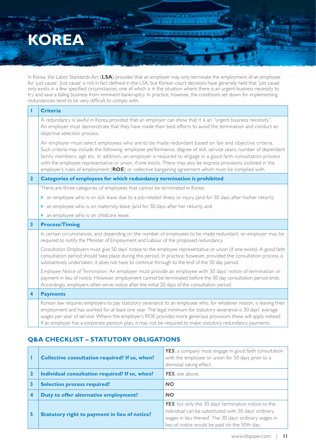### **Korea**

In Korea, the Labor Standards Act (**LSA**) provides that an employer may only terminate the employment of an employee for 'just cause'. 'Just cause' is not in fact defined in the LSA, but Korean court decisions have generally held that 'just cause' only exists in a few specified circumstances, one of which is in the situation where there is an urgent business necessity to try and save a failing business from imminent bankruptcy. In practice, however, the conditions set down for implementing redundancies tend to be very difficult to comply with.

a a new state and

| т                       | <b>Criteria</b>                                                                                                                                                                                                                                                                                                                                                                                                                                                                                                                                                      |
|-------------------------|----------------------------------------------------------------------------------------------------------------------------------------------------------------------------------------------------------------------------------------------------------------------------------------------------------------------------------------------------------------------------------------------------------------------------------------------------------------------------------------------------------------------------------------------------------------------|
|                         | A redundancy is lawful in Korea provided that an employer can show that it is an "urgent business necessity".<br>An employer must demonstrate that they have made their best efforts to avoid the termination and conduct an<br>objective selection process.                                                                                                                                                                                                                                                                                                         |
|                         | An employer must select employees who are to be made redundant based on fair and objective criteria.<br>Such criteria may include the following: employee performance, degree of skill, service years, number of dependant<br>family members, age etc. In addition, an employer is required to engage in a good faith consultation process<br>with the employee representative or union, if one exists. There may also be express provisions outlined in the<br>employer's rules of employment (ROE) or collective bargaining agreement which must be complied with. |
| $\overline{2}$          | Categories of employees for which redundancy termination is prohibited                                                                                                                                                                                                                                                                                                                                                                                                                                                                                               |
|                         | There are three categories of employees that cannot be terminated in Korea:                                                                                                                                                                                                                                                                                                                                                                                                                                                                                          |
|                         | an employee who is on sick leave due to a job-related illness or injury (and for 30 days after his/her return);                                                                                                                                                                                                                                                                                                                                                                                                                                                      |
|                         | an employee who is on maternity leave (and for 30 days after her return); and<br>п                                                                                                                                                                                                                                                                                                                                                                                                                                                                                   |
|                         | an employee who is on childcare leave.                                                                                                                                                                                                                                                                                                                                                                                                                                                                                                                               |
| 3                       | <b>Process/Timing</b>                                                                                                                                                                                                                                                                                                                                                                                                                                                                                                                                                |
|                         | In certain circumstances, and depending on the number of employees to be made redundant, an employer may be<br>required to notify the Minister of Employment and Labour of the proposed redundancy.                                                                                                                                                                                                                                                                                                                                                                  |
|                         | Consultation: Employers must give 50 days' notice to the employee representative or union (if one exists). A good faith<br>consultation period should take place during this period. In practice, however, provided the consultation process is<br>substantively undertaken, it does not have to continue through to the end of the 50 day period.                                                                                                                                                                                                                   |
|                         | Employee Notice of Termination: An employer must provide an employee with 30 days' notice of termination or<br>payment in lieu of notice. However, employment cannot be terminated before the 50 day consultation period ends.<br>Accordingly, employers often serve notice after the initial 20 days of the consultation period.                                                                                                                                                                                                                                    |
| $\overline{\mathbf{4}}$ | <b>Payments</b>                                                                                                                                                                                                                                                                                                                                                                                                                                                                                                                                                      |
|                         | Korean law requires employers to pay statutory severance to an employee who, for whatever reason, is leaving their<br>employment and has worked for at least one year. The legal minimum for statutory severance is 30 days' average<br>wages per year of service. Where the employer's ROE provides more generous provisions these will apply instead.<br>If an employer has a corporate pension plan, it may not be required to make statutory redundancy payments.                                                                                                |

|   | Collective consultation required? If so, when?       | YES, a company must engage in good faith consultation<br>with the employee or union for 50 days prior to a<br>dismissal taking effect.                                                                                         |
|---|------------------------------------------------------|--------------------------------------------------------------------------------------------------------------------------------------------------------------------------------------------------------------------------------|
|   | Individual consultation required? If so, when?       | <b>YES</b> , see above.                                                                                                                                                                                                        |
| 3 | <b>Selection process required?</b>                   | <b>NO</b>                                                                                                                                                                                                                      |
|   | Duty to offer alternative employment?                | <b>NO</b>                                                                                                                                                                                                                      |
| 5 | <b>Statutory right to payment in lieu of notice?</b> | <b>YES</b> , but only the 30 days' termination notice to the<br>individual can be substituted with 30 days' ordinary<br>wages in lieu thereof. The 30 days' ordinary wages in<br>lieu of notice would be paid on the 50th day. |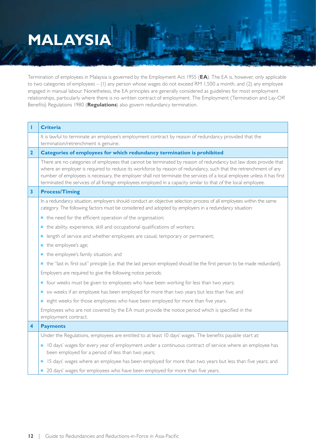# **Malaysia**

Termination of employees in Malaysia is governed by the Employment Act 1955 (**EA**). The EA is, however, only applicable to two categories of employees – (1) any person whose wages do not exceed RM 1,500 a month, and (2) any employee engaged in manual labour. Nonetheless, the EA principles are generally considered as guidelines for most employment relationships, particularly where there is no written contract of employment. The Employment (Termination and Lay-Off Benefits) Regulations 1980 (**Regulations**) also govern redundancy termination.

| T                       | <b>Criteria</b>                                                                                                                                                                                                                                                                                                                                                                                                                                                                   |
|-------------------------|-----------------------------------------------------------------------------------------------------------------------------------------------------------------------------------------------------------------------------------------------------------------------------------------------------------------------------------------------------------------------------------------------------------------------------------------------------------------------------------|
|                         | It is lawful to terminate an employee's employment contract by reason of redundancy provided that the<br>termination/retrenchment is genuine.                                                                                                                                                                                                                                                                                                                                     |
| $\overline{\mathbf{2}}$ | Categories of employees for which redundancy termination is prohibited                                                                                                                                                                                                                                                                                                                                                                                                            |
|                         | There are no categories of employees that cannot be terminated by reason of redundancy but law does provide that<br>where an employer is required to reduce its workforce by reason of redundancy, such that the retrenchment of any<br>number of employees is necessary, the employer shall not terminate the services of a local employee unless it has first<br>terminated the services of all foreign employees employed in a capacity similar to that of the local employee. |
| 3                       | <b>Process/Timing</b>                                                                                                                                                                                                                                                                                                                                                                                                                                                             |
|                         | In a redundancy situation, employers should conduct an objective selection process of all employees within the same<br>category. The following factors must be considered and adopted by employers in a redundancy situation:                                                                                                                                                                                                                                                     |
|                         | the need for the efficient operation of the organisation;                                                                                                                                                                                                                                                                                                                                                                                                                         |
|                         | the ability, experience, skill and occupational qualifications of workers;                                                                                                                                                                                                                                                                                                                                                                                                        |
|                         | length of service and whether employees are casual, temporary or permanent;<br>$\blacksquare$                                                                                                                                                                                                                                                                                                                                                                                     |
|                         | the employee's age;                                                                                                                                                                                                                                                                                                                                                                                                                                                               |
|                         | the employee's family situation; and                                                                                                                                                                                                                                                                                                                                                                                                                                              |
|                         | the "last in, first out" principle (i.e. that the last person employed should be the first person to be made redundant).                                                                                                                                                                                                                                                                                                                                                          |
|                         | Employers are required to give the following notice periods:                                                                                                                                                                                                                                                                                                                                                                                                                      |
|                         | ■ four weeks must be given to employees who have been working for less than two years;                                                                                                                                                                                                                                                                                                                                                                                            |
|                         | six weeks if an employee has been employed for more than two years but less than five; and                                                                                                                                                                                                                                                                                                                                                                                        |
|                         | eight weeks for those employees who have been employed for more than five years.<br>$\blacksquare$                                                                                                                                                                                                                                                                                                                                                                                |
|                         | Employees who are not covered by the EA must provide the notice period which is specified in the<br>employment contract.                                                                                                                                                                                                                                                                                                                                                          |
| 4                       | <b>Payments</b>                                                                                                                                                                                                                                                                                                                                                                                                                                                                   |
|                         | Under the Regulations, employees are entitled to at least 10 days' wages. The benefits payable start at:                                                                                                                                                                                                                                                                                                                                                                          |
|                         | 10 days' wages for every year of employment under a continuous contract of service where an employee has<br>$\overline{\phantom{a}}$<br>been employed for a period of less than two years;                                                                                                                                                                                                                                                                                        |
|                         | 15 days' wages where an employee has been employed for more than two years but less than five years; and                                                                                                                                                                                                                                                                                                                                                                          |
|                         | 20 days' wages for employees who have been employed for more than five years.                                                                                                                                                                                                                                                                                                                                                                                                     |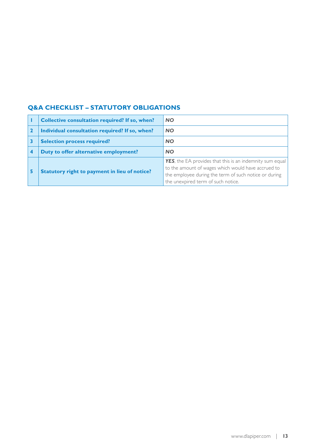| <b>Collective consultation required? If so, when?</b> | <b>NO</b>                                                                                                                                                                                                             |
|-------------------------------------------------------|-----------------------------------------------------------------------------------------------------------------------------------------------------------------------------------------------------------------------|
| Individual consultation required? If so, when?        | <b>NO</b>                                                                                                                                                                                                             |
| <b>Selection process required?</b>                    | <b>NO</b>                                                                                                                                                                                                             |
| Duty to offer alternative employment?                 | <b>NO</b>                                                                                                                                                                                                             |
| <b>Statutory right to payment in lieu of notice?</b>  | <b>YES</b> , the EA provides that this is an indemnity sum equal<br>to the amount of wages which would have accrued to<br>the employee during the term of such notice or during<br>the unexpired term of such notice. |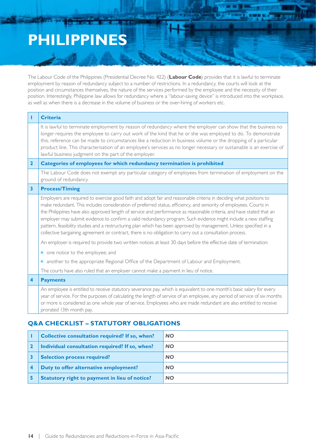### **Philippines**

The Labour Code of the Philippines (Presidential Decree No. 422) (**Labour Code**) provides that it is lawful to terminate employment by reason of redundancy subject to a number of restrictions. In a redundancy, the courts will look at the position and circumstances themselves, the nature of the services performed by the employee and the necessity of their position. Interestingly, Philippine law allows for redundancy where a "labour-saving device" is introduced into the workplace, as well as when there is a decrease in the volume of business or the over-hiring of workers etc.

|                         | <b>Criteria</b>                                                                                                                                                                                                                                                                                                                                                                                                                                                                                                                                                                                                                                                                                                      |
|-------------------------|----------------------------------------------------------------------------------------------------------------------------------------------------------------------------------------------------------------------------------------------------------------------------------------------------------------------------------------------------------------------------------------------------------------------------------------------------------------------------------------------------------------------------------------------------------------------------------------------------------------------------------------------------------------------------------------------------------------------|
|                         | It is lawful to terminate employment by reason of redundancy where the employer can show that the business no<br>longer requires the employee to carry out work of the kind that he or she was employed to do. To demonstrate<br>this, reference can be made to circumstances like a reduction in business volume or the dropping of a particular<br>product line. This characterisation of an employee's services as no longer necessary or sustainable is an exercise of<br>lawful business judgment on the part of the employer.                                                                                                                                                                                  |
| $\mathbf{2}$            | <b>Categories of employees for which redundancy termination is prohibited</b>                                                                                                                                                                                                                                                                                                                                                                                                                                                                                                                                                                                                                                        |
|                         | The Labour Code does not exempt any particular category of employees from termination of employment on the<br>ground of redundancy.                                                                                                                                                                                                                                                                                                                                                                                                                                                                                                                                                                                  |
| 3                       | <b>Process/Timing</b>                                                                                                                                                                                                                                                                                                                                                                                                                                                                                                                                                                                                                                                                                                |
|                         | Employers are required to exercise good faith and adopt fair and reasonable criteria in deciding what positions to<br>make redundant. This includes consideration of preferred status, efficiency, and seniority of employees. Courts in<br>the Philippines have also approved length of service and performance as reasonable criteria, and have stated that an<br>employer may submit evidence to confirm a valid redundancy program. Such evidence might include a new staffing<br>pattern, feasibility studies and a restructuring plan which has been approved by management. Unless specified in a<br>collective bargaining agreement or contract, there is no obligation to carry out a consultation process. |
|                         | An employer is required to provide two written notices at least 30 days before the effective date of termination:                                                                                                                                                                                                                                                                                                                                                                                                                                                                                                                                                                                                    |
|                         | one notice to the employee; and                                                                                                                                                                                                                                                                                                                                                                                                                                                                                                                                                                                                                                                                                      |
|                         | another to the appropriate Regional Office of the Department of Labour and Employment.                                                                                                                                                                                                                                                                                                                                                                                                                                                                                                                                                                                                                               |
|                         | The courts have also ruled that an employer cannot make a payment in lieu of notice.                                                                                                                                                                                                                                                                                                                                                                                                                                                                                                                                                                                                                                 |
| $\overline{\mathbf{4}}$ | <b>Payments</b>                                                                                                                                                                                                                                                                                                                                                                                                                                                                                                                                                                                                                                                                                                      |
|                         | An employee is entitled to receive statutory severance pay, which is equivalent to one month's basic salary for every<br>year of service. For the purposes of calculating the length of service of an employee, any period of service of six months<br>or more is considered as one whole year of service. Employees who are made redundant are also entitled to receive<br>prorated 13th month pay.                                                                                                                                                                                                                                                                                                                 |

| Collective consultation required? If so, when?       | <b>NO</b> |
|------------------------------------------------------|-----------|
| Individual consultation required? If so, when?       | <b>NO</b> |
| <b>Selection process required?</b>                   | <b>NO</b> |
| Duty to offer alternative employment?                | <b>NO</b> |
| <b>Statutory right to payment in lieu of notice?</b> | <b>NO</b> |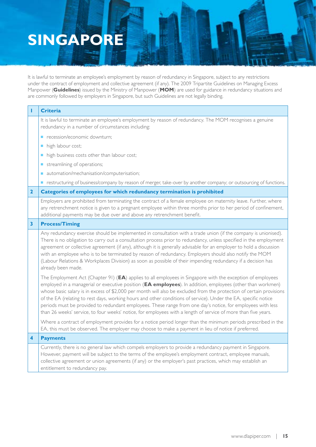## **Singapore**

It is lawful to terminate an employee's employment by reason of redundancy in Singapore, subject to any restrictions under the contract of employment and collective agreement (if any). The 2009 Tripartite Guidelines on Managing Excess Manpower (**Guidelines**) issued by the Ministry of Manpower (**MOM**) are used for guidance in redundancy situations and are commonly followed by employers in Singapore, but such Guidelines are not legally binding.

|              | <b>Criteria</b>                                                                                                                                                                                                                                                                                                                                                                                                                                                                                                                                                                                                                                                                                      |
|--------------|------------------------------------------------------------------------------------------------------------------------------------------------------------------------------------------------------------------------------------------------------------------------------------------------------------------------------------------------------------------------------------------------------------------------------------------------------------------------------------------------------------------------------------------------------------------------------------------------------------------------------------------------------------------------------------------------------|
|              | It is lawful to terminate an employee's employment by reason of redundancy. The MOM recognises a genuine<br>redundancy in a number of circumstances including:                                                                                                                                                                                                                                                                                                                                                                                                                                                                                                                                       |
|              | recession/economic downturn;<br>$\blacksquare$                                                                                                                                                                                                                                                                                                                                                                                                                                                                                                                                                                                                                                                       |
|              | high labour cost;<br>п                                                                                                                                                                                                                                                                                                                                                                                                                                                                                                                                                                                                                                                                               |
|              | high business costs other than labour cost;<br>$\blacksquare$                                                                                                                                                                                                                                                                                                                                                                                                                                                                                                                                                                                                                                        |
|              | streamlining of operations;<br>п                                                                                                                                                                                                                                                                                                                                                                                                                                                                                                                                                                                                                                                                     |
|              | automation/mechanisation/computerisation;                                                                                                                                                                                                                                                                                                                                                                                                                                                                                                                                                                                                                                                            |
|              | restructuring of business/company by reason of merger, take-over by another company; or outsourcing of functions.                                                                                                                                                                                                                                                                                                                                                                                                                                                                                                                                                                                    |
| $\mathbf{2}$ | Categories of employees for which redundancy termination is prohibited                                                                                                                                                                                                                                                                                                                                                                                                                                                                                                                                                                                                                               |
|              | Employers are prohibited from terminating the contract of a female employee on maternity leave. Further, where<br>any retrenchment notice is given to a pregnant employee within three months prior to her period of confinement,<br>additional payments may be due over and above any retrenchment benefit.                                                                                                                                                                                                                                                                                                                                                                                         |
| 3            | <b>Process/Timing</b>                                                                                                                                                                                                                                                                                                                                                                                                                                                                                                                                                                                                                                                                                |
|              | Any redundancy exercise should be implemented in consultation with a trade union (if the company is unionised).<br>There is no obligation to carry out a consultation process prior to redundancy, unless specified in the employment<br>agreement or collective agreement (if any), although it is generally advisable for an employer to hold a discussion<br>with an employee who is to be terminated by reason of redundancy. Employers should also notify the MOM<br>(Labour Relations & Workplaces Division) as soon as possible of their impending redundancy if a decision has<br>already been made.                                                                                         |
|              | The Employment Act (Chapter 91) (EA) applies to all employees in Singapore with the exception of employees<br>employed in a managerial or executive position (EA employees). In addition, employees (other than workmen)<br>whose basic salary is in excess of \$2,000 per month will also be excluded from the protection of certain provisions<br>of the EA (relating to rest days, working hours and other conditions of service). Under the EA, specific notice<br>periods must be provided to redundant employees. These range from one day's notice, for employees with less<br>than 26 weeks' service, to four weeks' notice, for employees with a length of service of more than five years. |
|              | Where a contract of employment provides for a notice period longer than the minimum periods prescribed in the<br>EA, this must be observed. The employer may choose to make a payment in lieu of notice if preferred.                                                                                                                                                                                                                                                                                                                                                                                                                                                                                |
| 4            | <b>Payments</b>                                                                                                                                                                                                                                                                                                                                                                                                                                                                                                                                                                                                                                                                                      |
|              | Currently, there is no general law which compels employers to provide a redundancy payment in Singapore.<br>However, payment will be subject to the terms of the employee's employment contract, employee manuals,<br>collective agreement or union agreements (if any) or the employer's past practices, which may establish an<br>entitlement to redundancy pay.                                                                                                                                                                                                                                                                                                                                   |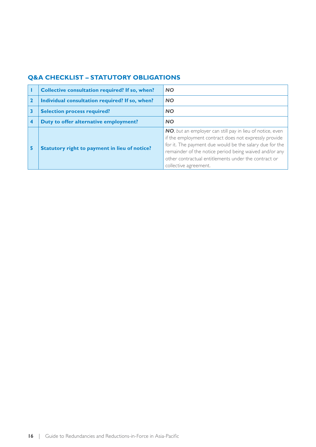|   | <b>Collective consultation required? If so, when?</b> | <b>NO</b>                                                                                                                                                                                                                                                                                                                |
|---|-------------------------------------------------------|--------------------------------------------------------------------------------------------------------------------------------------------------------------------------------------------------------------------------------------------------------------------------------------------------------------------------|
|   | Individual consultation required? If so, when?        | <b>NO</b>                                                                                                                                                                                                                                                                                                                |
|   | <b>Selection process required?</b>                    | <b>NO</b>                                                                                                                                                                                                                                                                                                                |
|   | Duty to offer alternative employment?                 | <b>NO</b>                                                                                                                                                                                                                                                                                                                |
| 5 | Statutory right to payment in lieu of notice?         | NO, but an employer can still pay in lieu of notice, even<br>if the employment contract does not expressly provide<br>for it. The payment due would be the salary due for the<br>remainder of the notice period being waived and/or any<br>other contractual entitlements under the contract or<br>collective agreement. |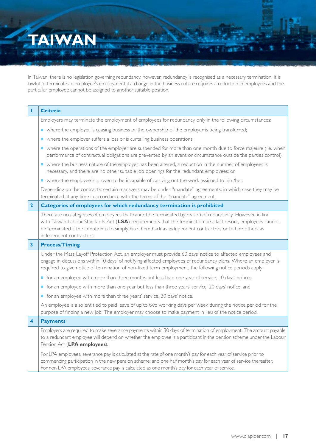## **Taiwan**

In Taiwan, there is no legislation governing redundancy, however, redundancy is recognised as a necessary termination. It is lawful to terminate an employee's employment if a change in the business nature requires a reduction in employees and the particular employee cannot be assigned to another suitable position.

| п                       | <b>Criteria</b>                                                                                                                                                                                                                                                                                                                                                   |
|-------------------------|-------------------------------------------------------------------------------------------------------------------------------------------------------------------------------------------------------------------------------------------------------------------------------------------------------------------------------------------------------------------|
|                         | Employers may terminate the employment of employees for redundancy only in the following circumstances:                                                                                                                                                                                                                                                           |
|                         | • where the employer is ceasing business or the ownership of the employer is being transferred;                                                                                                                                                                                                                                                                   |
|                         | where the employer suffers a loss or is curtailing business operations;                                                                                                                                                                                                                                                                                           |
|                         | • where the operations of the employer are suspended for more than one month due to force majeure (i.e. when<br>performance of contractual obligations are prevented by an event or circumstance outside the parties control);                                                                                                                                    |
|                         | • where the business nature of the employer has been altered, a reduction in the number of employees is<br>necessary, and there are no other suitable job openings for the redundant employees; or                                                                                                                                                                |
|                         | • where the employee is proven to be incapable of carrying out the work assigned to him/her.                                                                                                                                                                                                                                                                      |
|                         | Depending on the contracts, certain managers may be under "mandate" agreements, in which case they may be<br>terminated at any time in accordance with the terms of the "mandate" agreement.                                                                                                                                                                      |
| $\mathbf{2}$            | Categories of employees for which redundancy termination is prohibited                                                                                                                                                                                                                                                                                            |
|                         | There are no categories of employees that cannot be terminated by reason of redundancy. However, in line<br>with Taiwan Labour Standards Act (LSA) requirements that the termination be a last resort, employees cannot<br>be terminated if the intention is to simply hire them back as independent contractors or to hire others as<br>independent contractors. |
| 3                       | <b>Process/Timing</b>                                                                                                                                                                                                                                                                                                                                             |
|                         | Under the Mass Layoff Protection Act, an employer must provide 60 days' notice to affected employees and<br>engage in discussions within 10 days' of notifying affected employees of redundancy plans. Where an employer is<br>required to give notice of termination of non-fixed term employment, the following notice periods apply:                           |
|                         | ■ for an employee with more than three months but less than one year of service, 10 days' notice;                                                                                                                                                                                                                                                                 |
|                         | • for an employee with more than one year but less than three years' service, 20 days' notice; and                                                                                                                                                                                                                                                                |
|                         | for an employee with more than three years' service, 30 days' notice.                                                                                                                                                                                                                                                                                             |
|                         | An employee is also entitled to paid leave of up to two working days per week during the notice period for the<br>purpose of finding a new job. The employer may choose to make payment in lieu of the notice period.                                                                                                                                             |
| $\overline{\mathbf{4}}$ | <b>Payments</b>                                                                                                                                                                                                                                                                                                                                                   |
|                         | Employers are required to make severance payments within 30 days of termination of employment. The amount payable<br>to a redundant employee will depend on whether the employee is a participant in the pension scheme under the Labour<br>Pension Act (LPA employees).                                                                                          |
|                         | For LPA employees, severance pay is calculated at the rate of one month's pay for each year of service prior to<br>commencing participation in the new pension scheme; and one half month's pay for each year of service thereafter.<br>For non LPA employees, severance pay is calculated as one month's pay for each year of service.                           |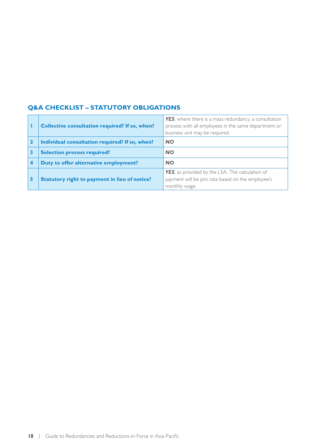|   | <b>Collective consultation required? If so, when?</b> | <b>YES</b> , where there is a mass redundancy, a consultation<br>process with all employees in the same department or<br>business unit may be required. |
|---|-------------------------------------------------------|---------------------------------------------------------------------------------------------------------------------------------------------------------|
|   | Individual consultation required? If so, when?        | <b>NO</b>                                                                                                                                               |
|   | <b>Selection process required?</b>                    | <b>NO</b>                                                                                                                                               |
|   | Duty to offer alternative employment?                 | <b>NO</b>                                                                                                                                               |
| 5 | Statutory right to payment in lieu of notice?         | <b>YES</b> , as provided by the LSA. The calculation of<br>payment will be pro rata based on the employee's<br>monthly wage.                            |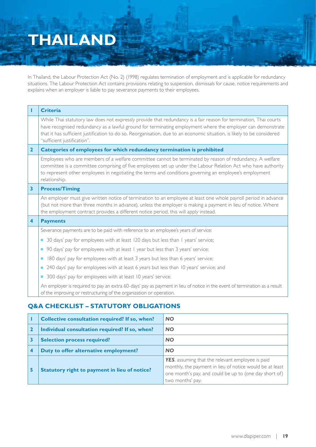### **Thailand**

In Thailand, the Labour Protection Act (No. 2) (1998) regulates termination of employment and is applicable for redundancy situations. The Labour Protection Act contains provisions relating to suspension, dismissals for cause, notice requirements and explains when an employer is liable to pay severance payments to their employees.

| т                       | <b>Criteria</b>                                                                                                                                                                                                                                                                                                                                                                            |  |
|-------------------------|--------------------------------------------------------------------------------------------------------------------------------------------------------------------------------------------------------------------------------------------------------------------------------------------------------------------------------------------------------------------------------------------|--|
|                         | While Thai statutory law does not expressly provide that redundancy is a fair reason for termination, Thai courts<br>have recognised redundancy as a lawful ground for terminating employment where the employer can demonstrate<br>that it has sufficient justification to do so. Reorganisation, due to an economic situation, is likely to be considered<br>"sufficient justification". |  |
| $\overline{2}$          | Categories of employees for which redundancy termination is prohibited                                                                                                                                                                                                                                                                                                                     |  |
|                         | Employees who are members of a welfare committee cannot be terminated by reason of redundancy. A welfare<br>committee is a committee comprising of five employees set up under the Labour Relation Act who have authority<br>to represent other employees in negotiating the terms and conditions governing an employee's employment<br>relationship.                                      |  |
| $\overline{\mathbf{3}}$ | <b>Process/Timing</b>                                                                                                                                                                                                                                                                                                                                                                      |  |
|                         | An employer must give written notice of termination to an employee at least one whole payroll period in advance<br>(but not more than three months in advance), unless the employer is making a payment in lieu of notice. Where<br>the employment contract provides a different notice period, this will apply instead.                                                                   |  |
| $\overline{\mathbf{4}}$ | <b>Payments</b>                                                                                                                                                                                                                                                                                                                                                                            |  |
|                         | Severance payments are to be paid with reference to an employee's years of service:                                                                                                                                                                                                                                                                                                        |  |
|                         | 30 days' pay for employees with at least 120 days but less than 1 years' service;<br>П                                                                                                                                                                                                                                                                                                     |  |
|                         | 90 days' pay for employees with at least I year but less than 3 years' service;<br>П                                                                                                                                                                                                                                                                                                       |  |
|                         | 180 days' pay for employees with at least 3 years but less than 6 years' service;<br>П                                                                                                                                                                                                                                                                                                     |  |
|                         | 240 days' pay for employees with at least 6 years but less than 10 years' service; and                                                                                                                                                                                                                                                                                                     |  |
|                         | 300 days' pay for employees with at least 10 years' service.                                                                                                                                                                                                                                                                                                                               |  |
|                         | An employer is required to pay an extra 60-days' pay as payment in lieu of notice in the event of termination as a result<br>of the improving or restructuring of the organization or operation.                                                                                                                                                                                           |  |

|   | <b>Collective consultation required? If so, when?</b> | <b>NO</b>                                                                                                                                                                                  |
|---|-------------------------------------------------------|--------------------------------------------------------------------------------------------------------------------------------------------------------------------------------------------|
|   | Individual consultation required? If so, when?        | <b>NO</b>                                                                                                                                                                                  |
|   | <b>Selection process required?</b>                    | <b>NO</b>                                                                                                                                                                                  |
|   | Duty to offer alternative employment?                 | <b>NO</b>                                                                                                                                                                                  |
| 5 | <b>Statutory right to payment in lieu of notice?</b>  | YES, assuming that the relevant employee is paid<br>monthly, the payment in lieu of notice would be at least<br>one month's pay, and could be up to (one day short of)<br>two months' pay. |